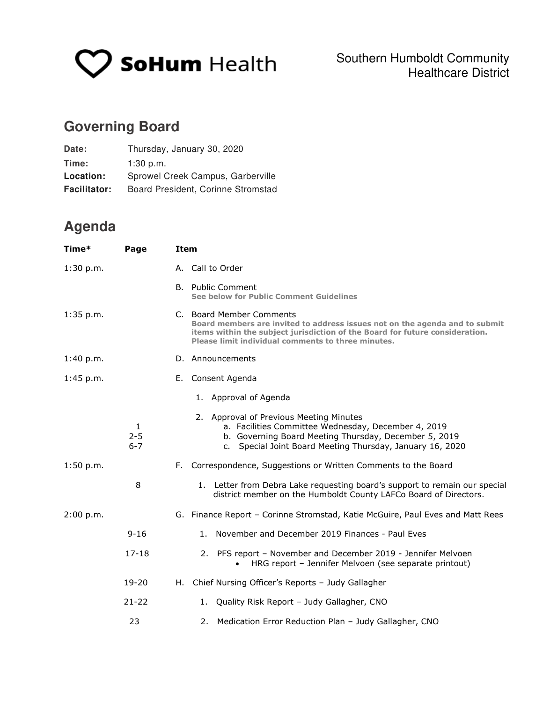

## **Governing Board**

| Date:               | Thursday, January 30, 2020         |
|---------------------|------------------------------------|
| Time:               | $1:30$ p.m.                        |
| Location:           | Sprowel Creek Campus, Garberville  |
| <b>Facilitator:</b> | Board President, Corinne Stromstad |

## **Agenda**

| Time*     | Page                    | <b>Item</b>                                                                                                                                                                                                                                   |  |
|-----------|-------------------------|-----------------------------------------------------------------------------------------------------------------------------------------------------------------------------------------------------------------------------------------------|--|
| 1:30 p.m. |                         | A. Call to Order                                                                                                                                                                                                                              |  |
|           |                         | <b>B.</b> Public Comment<br>See below for Public Comment Guidelines                                                                                                                                                                           |  |
| 1:35 p.m. |                         | C. Board Member Comments<br>Board members are invited to address issues not on the agenda and to submit<br>items within the subject jurisdiction of the Board for future consideration.<br>Please limit individual comments to three minutes. |  |
| 1:40 p.m. |                         | D. Announcements                                                                                                                                                                                                                              |  |
| 1:45 p.m. |                         | E. Consent Agenda                                                                                                                                                                                                                             |  |
|           |                         | 1. Approval of Agenda                                                                                                                                                                                                                         |  |
|           | 1<br>$2 - 5$<br>$6 - 7$ | 2. Approval of Previous Meeting Minutes<br>a. Facilities Committee Wednesday, December 4, 2019<br>b. Governing Board Meeting Thursday, December 5, 2019<br>c. Special Joint Board Meeting Thursday, January 16, 2020                          |  |
| 1:50 p.m. |                         | F. Correspondence, Suggestions or Written Comments to the Board                                                                                                                                                                               |  |
|           | 8                       | 1. Letter from Debra Lake requesting board's support to remain our special<br>district member on the Humboldt County LAFCo Board of Directors.                                                                                                |  |
| 2:00 p.m. |                         | G. Finance Report - Corinne Stromstad, Katie McGuire, Paul Eves and Matt Rees                                                                                                                                                                 |  |
|           | $9 - 16$                | 1. November and December 2019 Finances - Paul Eves                                                                                                                                                                                            |  |
|           | $17 - 18$               | 2. PFS report - November and December 2019 - Jennifer Melvoen<br>HRG report - Jennifer Melvoen (see separate printout)<br>$\bullet$                                                                                                           |  |
|           | $19 - 20$               | Chief Nursing Officer's Reports - Judy Gallagher<br>н. .                                                                                                                                                                                      |  |
|           | $21 - 22$               | 1. Quality Risk Report - Judy Gallagher, CNO                                                                                                                                                                                                  |  |
|           | 23                      | 2. Medication Error Reduction Plan - Judy Gallagher, CNO                                                                                                                                                                                      |  |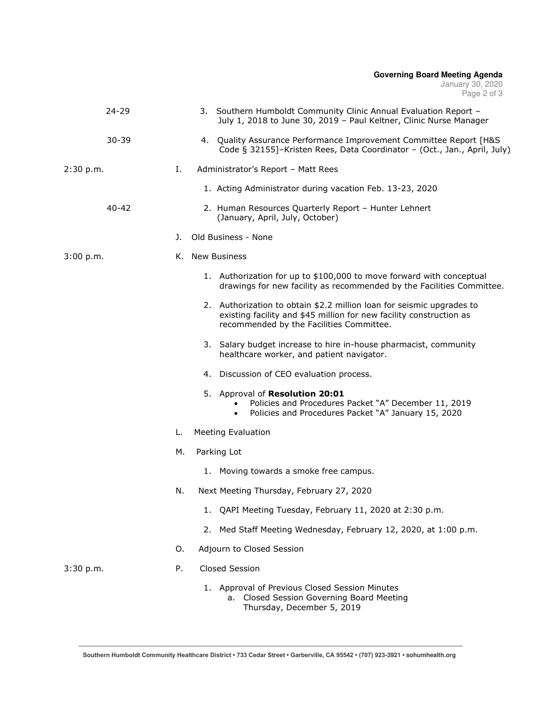## **Governing Board Meeting Agenda**  January 30, 2020 Page 2 of 3

| $24 - 29$ |    | 3. Southern Humboldt Community Clinic Annual Evaluation Report -<br>July 1, 2018 to June 30, 2019 - Paul Keltner, Clinic Nurse Manager                                                   |
|-----------|----|------------------------------------------------------------------------------------------------------------------------------------------------------------------------------------------|
| $30 - 39$ |    | 4. Quality Assurance Performance Improvement Committee Report [H&S<br>Code § 32155]-Kristen Rees, Data Coordinator - (Oct., Jan., April, July)                                           |
| 2:30 p.m. | Ι. | Administrator's Report - Matt Rees                                                                                                                                                       |
|           |    | 1. Acting Administrator during vacation Feb. 13-23, 2020                                                                                                                                 |
| $40 - 42$ |    | 2. Human Resources Quarterly Report - Hunter Lehnert<br>(January, April, July, October)                                                                                                  |
|           | J. | Old Business - None                                                                                                                                                                      |
| 3:00 p.m. |    | K. New Business                                                                                                                                                                          |
|           |    | 1. Authorization for up to \$100,000 to move forward with conceptual<br>drawings for new facility as recommended by the Facilities Committee.                                            |
|           |    | 2. Authorization to obtain \$2.2 million loan for seismic upgrades to<br>existing facility and \$45 million for new facility construction as<br>recommended by the Facilities Committee. |
|           |    | 3. Salary budget increase to hire in-house pharmacist, community<br>healthcare worker, and patient navigator.                                                                            |
|           |    | 4. Discussion of CEO evaluation process.                                                                                                                                                 |
|           |    | 5. Approval of Resolution 20:01<br>Policies and Procedures Packet "A" December 11, 2019<br>Policies and Procedures Packet "A" January 15, 2020                                           |
|           | L. | <b>Meeting Evaluation</b>                                                                                                                                                                |
|           | М. | Parking Lot                                                                                                                                                                              |
|           |    | 1. Moving towards a smoke free campus.                                                                                                                                                   |
|           | N. | Next Meeting Thursday, February 27, 2020                                                                                                                                                 |
|           |    | QAPI Meeting Tuesday, February 11, 2020 at 2:30 p.m.<br>1.                                                                                                                               |
|           |    | 2. Med Staff Meeting Wednesday, February 12, 2020, at 1:00 p.m.                                                                                                                          |
|           | 0. | Adjourn to Closed Session                                                                                                                                                                |
| 3:30 p.m. | Ρ. | Closed Session                                                                                                                                                                           |
|           |    | 1. Approval of Previous Closed Session Minutes<br>a. Closed Session Governing Board Meeting<br>Thursday, December 5, 2019                                                                |